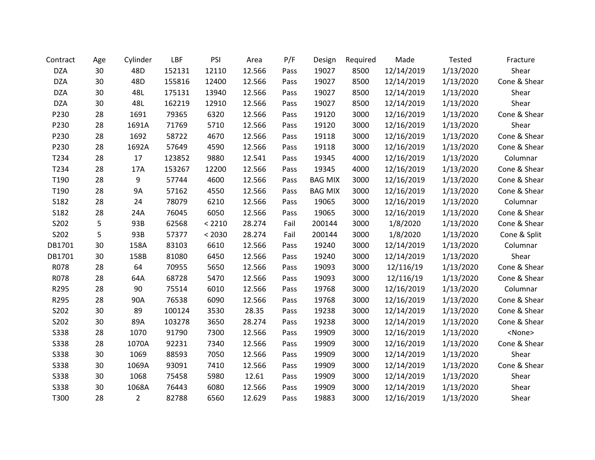| Contract    | Age | Cylinder       | LBF    | PSI    | Area   | P/F  | Design         | Required | Made       | Tested    | Fracture      |
|-------------|-----|----------------|--------|--------|--------|------|----------------|----------|------------|-----------|---------------|
| <b>DZA</b>  | 30  | 48D            | 152131 | 12110  | 12.566 | Pass | 19027          | 8500     | 12/14/2019 | 1/13/2020 | Shear         |
| <b>DZA</b>  | 30  | 48D            | 155816 | 12400  | 12.566 | Pass | 19027          | 8500     | 12/14/2019 | 1/13/2020 | Cone & Shear  |
| <b>DZA</b>  | 30  | 48L            | 175131 | 13940  | 12.566 | Pass | 19027          | 8500     | 12/14/2019 | 1/13/2020 | Shear         |
| <b>DZA</b>  | 30  | 48L            | 162219 | 12910  | 12.566 | Pass | 19027          | 8500     | 12/14/2019 | 1/13/2020 | Shear         |
| P230        | 28  | 1691           | 79365  | 6320   | 12.566 | Pass | 19120          | 3000     | 12/16/2019 | 1/13/2020 | Cone & Shear  |
| P230        | 28  | 1691A          | 71769  | 5710   | 12.566 | Pass | 19120          | 3000     | 12/16/2019 | 1/13/2020 | Shear         |
| P230        | 28  | 1692           | 58722  | 4670   | 12.566 | Pass | 19118          | 3000     | 12/16/2019 | 1/13/2020 | Cone & Shear  |
| P230        | 28  | 1692A          | 57649  | 4590   | 12.566 | Pass | 19118          | 3000     | 12/16/2019 | 1/13/2020 | Cone & Shear  |
| T234        | 28  | 17             | 123852 | 9880   | 12.541 | Pass | 19345          | 4000     | 12/16/2019 | 1/13/2020 | Columnar      |
| T234        | 28  | 17A            | 153267 | 12200  | 12.566 | Pass | 19345          | 4000     | 12/16/2019 | 1/13/2020 | Cone & Shear  |
| T190        | 28  | 9              | 57744  | 4600   | 12.566 | Pass | <b>BAG MIX</b> | 3000     | 12/16/2019 | 1/13/2020 | Cone & Shear  |
| T190        | 28  | <b>9A</b>      | 57162  | 4550   | 12.566 | Pass | <b>BAG MIX</b> | 3000     | 12/16/2019 | 1/13/2020 | Cone & Shear  |
| S182        | 28  | 24             | 78079  | 6210   | 12.566 | Pass | 19065          | 3000     | 12/16/2019 | 1/13/2020 | Columnar      |
| S182        | 28  | 24A            | 76045  | 6050   | 12.566 | Pass | 19065          | 3000     | 12/16/2019 | 1/13/2020 | Cone & Shear  |
| S202        | 5   | 93B            | 62568  | < 2210 | 28.274 | Fail | 200144         | 3000     | 1/8/2020   | 1/13/2020 | Cone & Shear  |
| S202        | 5   | 93B            | 57377  | < 2030 | 28.274 | Fail | 200144         | 3000     | 1/8/2020   | 1/13/2020 | Cone & Split  |
| DB1701      | 30  | 158A           | 83103  | 6610   | 12.566 | Pass | 19240          | 3000     | 12/14/2019 | 1/13/2020 | Columnar      |
| DB1701      | 30  | 158B           | 81080  | 6450   | 12.566 | Pass | 19240          | 3000     | 12/14/2019 | 1/13/2020 | Shear         |
| R078        | 28  | 64             | 70955  | 5650   | 12.566 | Pass | 19093          | 3000     | 12/116/19  | 1/13/2020 | Cone & Shear  |
| R078        | 28  | 64A            | 68728  | 5470   | 12.566 | Pass | 19093          | 3000     | 12/116/19  | 1/13/2020 | Cone & Shear  |
| R295        | 28  | 90             | 75514  | 6010   | 12.566 | Pass | 19768          | 3000     | 12/16/2019 | 1/13/2020 | Columnar      |
| R295        | 28  | 90A            | 76538  | 6090   | 12.566 | Pass | 19768          | 3000     | 12/16/2019 | 1/13/2020 | Cone & Shear  |
| S202        | 30  | 89             | 100124 | 3530   | 28.35  | Pass | 19238          | 3000     | 12/14/2019 | 1/13/2020 | Cone & Shear  |
| S202        | 30  | 89A            | 103278 | 3650   | 28.274 | Pass | 19238          | 3000     | 12/14/2019 | 1/13/2020 | Cone & Shear  |
| S338        | 28  | 1070           | 91790  | 7300   | 12.566 | Pass | 19909          | 3000     | 12/16/2019 | 1/13/2020 | <none></none> |
| <b>S338</b> | 28  | 1070A          | 92231  | 7340   | 12.566 | Pass | 19909          | 3000     | 12/16/2019 | 1/13/2020 | Cone & Shear  |
| <b>S338</b> | 30  | 1069           | 88593  | 7050   | 12.566 | Pass | 19909          | 3000     | 12/14/2019 | 1/13/2020 | Shear         |
| <b>S338</b> | 30  | 1069A          | 93091  | 7410   | 12.566 | Pass | 19909          | 3000     | 12/14/2019 | 1/13/2020 | Cone & Shear  |
| <b>S338</b> | 30  | 1068           | 75458  | 5980   | 12.61  | Pass | 19909          | 3000     | 12/14/2019 | 1/13/2020 | Shear         |
| <b>S338</b> | 30  | 1068A          | 76443  | 6080   | 12.566 | Pass | 19909          | 3000     | 12/14/2019 | 1/13/2020 | Shear         |
| T300        | 28  | $\overline{2}$ | 82788  | 6560   | 12.629 | Pass | 19883          | 3000     | 12/16/2019 | 1/13/2020 | Shear         |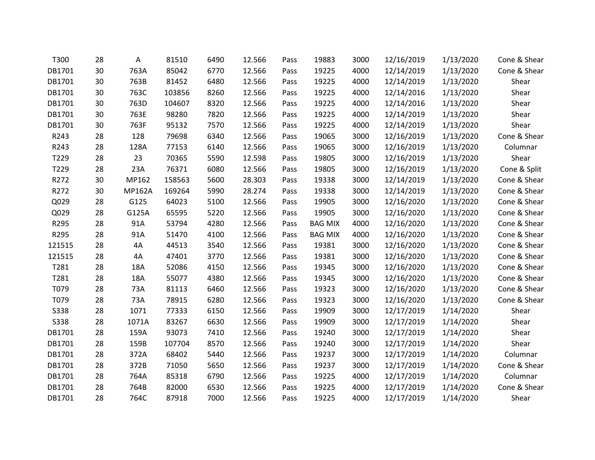| T300        | 28 | A             | 81510  | 6490 | 12.566 | Pass | 19883          | 3000 | 12/16/2019 | 1/13/2020 | Cone & Shear |
|-------------|----|---------------|--------|------|--------|------|----------------|------|------------|-----------|--------------|
| DB1701      | 30 | 763A          | 85042  | 6770 | 12.566 | Pass | 19225          | 4000 | 12/14/2019 | 1/13/2020 | Cone & Shear |
| DB1701      | 30 | 763B          | 81452  | 6480 | 12.566 | Pass | 19225          | 4000 | 12/14/2019 | 1/13/2020 | Shear        |
| DB1701      | 30 | 763C          | 103856 | 8260 | 12.566 | Pass | 19225          | 4000 | 12/14/2016 | 1/13/2020 | Shear        |
| DB1701      | 30 | 763D          | 104607 | 8320 | 12.566 | Pass | 19225          | 4000 | 12/14/2016 | 1/13/2020 | Shear        |
| DB1701      | 30 | 763E          | 98280  | 7820 | 12.566 | Pass | 19225          | 4000 | 12/14/2019 | 1/13/2020 | Shear        |
| DB1701      | 30 | 763F          | 95132  | 7570 | 12.566 | Pass | 19225          | 4000 | 12/14/2019 | 1/13/2020 | Shear        |
| R243        | 28 | 128           | 79698  | 6340 | 12.566 | Pass | 19065          | 3000 | 12/16/2019 | 1/13/2020 | Cone & Shear |
| R243        | 28 | 128A          | 77153  | 6140 | 12.566 | Pass | 19065          | 3000 | 12/16/2019 | 1/13/2020 | Columnar     |
| T229        | 28 | 23            | 70365  | 5590 | 12.598 | Pass | 19805          | 3000 | 12/16/2019 | 1/13/2020 | Shear        |
| T229        | 28 | 23A           | 76371  | 6080 | 12.566 | Pass | 19805          | 3000 | 12/16/2019 | 1/13/2020 | Cone & Split |
| R272        | 30 | MP162         | 158563 | 5600 | 28.303 | Pass | 19338          | 3000 | 12/14/2019 | 1/13/2020 | Cone & Shear |
| R272        | 30 | <b>MP162A</b> | 169264 | 5990 | 28.274 | Pass | 19338          | 3000 | 12/14/2019 | 1/13/2020 | Cone & Shear |
| Q029        | 28 | G125          | 64023  | 5100 | 12.566 | Pass | 19905          | 3000 | 12/16/2020 | 1/13/2020 | Cone & Shear |
| Q029        | 28 | G125A         | 65595  | 5220 | 12.566 | Pass | 19905          | 3000 | 12/16/2020 | 1/13/2020 | Cone & Shear |
| R295        | 28 | 91A           | 53794  | 4280 | 12.566 | Pass | <b>BAG MIX</b> | 4000 | 12/16/2020 | 1/13/2020 | Cone & Shear |
| R295        | 28 | 91A           | 51470  | 4100 | 12.566 | Pass | <b>BAG MIX</b> | 4000 | 12/16/2020 | 1/13/2020 | Cone & Shear |
| 121515      | 28 | 4A            | 44513  | 3540 | 12.566 | Pass | 19381          | 3000 | 12/16/2020 | 1/13/2020 | Cone & Shear |
| 121515      | 28 | 4A            | 47401  | 3770 | 12.566 | Pass | 19381          | 3000 | 12/16/2020 | 1/13/2020 | Cone & Shear |
| T281        | 28 | 18A           | 52086  | 4150 | 12.566 | Pass | 19345          | 3000 | 12/16/2020 | 1/13/2020 | Cone & Shear |
| T281        | 28 | 18A           | 55077  | 4380 | 12.566 | Pass | 19345          | 3000 | 12/16/2020 | 1/13/2020 | Cone & Shear |
| T079        | 28 | 73A           | 81113  | 6460 | 12.566 | Pass | 19323          | 3000 | 12/16/2020 | 1/13/2020 | Cone & Shear |
| T079        | 28 | 73A           | 78915  | 6280 | 12.566 | Pass | 19323          | 3000 | 12/16/2020 | 1/13/2020 | Cone & Shear |
| <b>S338</b> | 28 | 1071          | 77333  | 6150 | 12.566 | Pass | 19909          | 3000 | 12/17/2019 | 1/14/2020 | Shear        |
| S338        | 28 | 1071A         | 83267  | 6630 | 12.566 | Pass | 19909          | 3000 | 12/17/2019 | 1/14/2020 | Shear        |
| DB1701      | 28 | 159A          | 93073  | 7410 | 12.566 | Pass | 19240          | 3000 | 12/17/2019 | 1/14/2020 | Shear        |
| DB1701      | 28 | 159B          | 107704 | 8570 | 12.566 | Pass | 19240          | 3000 | 12/17/2019 | 1/14/2020 | Shear        |
| DB1701      | 28 | 372A          | 68402  | 5440 | 12.566 | Pass | 19237          | 3000 | 12/17/2019 | 1/14/2020 | Columnar     |
| DB1701      | 28 | 372B          | 71050  | 5650 | 12.566 | Pass | 19237          | 3000 | 12/17/2019 | 1/14/2020 | Cone & Shear |
| DB1701      | 28 | 764A          | 85318  | 6790 | 12.566 | Pass | 19225          | 4000 | 12/17/2019 | 1/14/2020 | Columnar     |
| DB1701      | 28 | 764B          | 82000  | 6530 | 12.566 | Pass | 19225          | 4000 | 12/17/2019 | 1/14/2020 | Cone & Shear |
| DB1701      | 28 | 764C          | 87918  | 7000 | 12.566 | Pass | 19225          | 4000 | 12/17/2019 | 1/14/2020 | Shear        |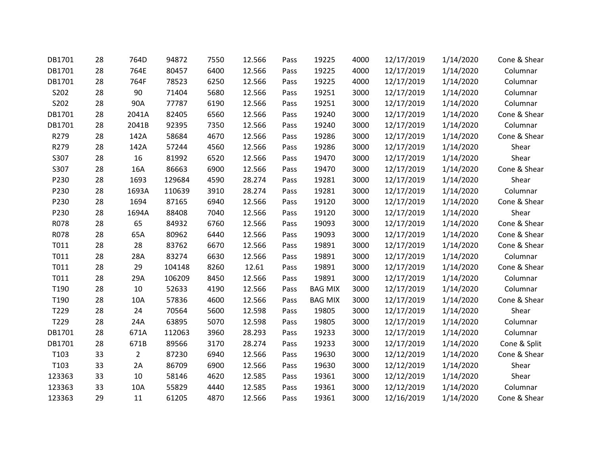| DB1701 | 28 | 764D           | 94872  | 7550 | 12.566 | Pass | 19225          | 4000 | 12/17/2019 | 1/14/2020 | Cone & Shear |
|--------|----|----------------|--------|------|--------|------|----------------|------|------------|-----------|--------------|
| DB1701 | 28 | 764E           | 80457  | 6400 | 12.566 | Pass | 19225          | 4000 | 12/17/2019 | 1/14/2020 | Columnar     |
| DB1701 | 28 | 764F           | 78523  | 6250 | 12.566 | Pass | 19225          | 4000 | 12/17/2019 | 1/14/2020 | Columnar     |
| S202   | 28 | 90             | 71404  | 5680 | 12.566 | Pass | 19251          | 3000 | 12/17/2019 | 1/14/2020 | Columnar     |
| S202   | 28 | 90A            | 77787  | 6190 | 12.566 | Pass | 19251          | 3000 | 12/17/2019 | 1/14/2020 | Columnar     |
| DB1701 | 28 | 2041A          | 82405  | 6560 | 12.566 | Pass | 19240          | 3000 | 12/17/2019 | 1/14/2020 | Cone & Shear |
| DB1701 | 28 | 2041B          | 92395  | 7350 | 12.566 | Pass | 19240          | 3000 | 12/17/2019 | 1/14/2020 | Columnar     |
| R279   | 28 | 142A           | 58684  | 4670 | 12.566 | Pass | 19286          | 3000 | 12/17/2019 | 1/14/2020 | Cone & Shear |
| R279   | 28 | 142A           | 57244  | 4560 | 12.566 | Pass | 19286          | 3000 | 12/17/2019 | 1/14/2020 | Shear        |
| S307   | 28 | 16             | 81992  | 6520 | 12.566 | Pass | 19470          | 3000 | 12/17/2019 | 1/14/2020 | Shear        |
| S307   | 28 | <b>16A</b>     | 86663  | 6900 | 12.566 | Pass | 19470          | 3000 | 12/17/2019 | 1/14/2020 | Cone & Shear |
| P230   | 28 | 1693           | 129684 | 4590 | 28.274 | Pass | 19281          | 3000 | 12/17/2019 | 1/14/2020 | Shear        |
| P230   | 28 | 1693A          | 110639 | 3910 | 28.274 | Pass | 19281          | 3000 | 12/17/2019 | 1/14/2020 | Columnar     |
| P230   | 28 | 1694           | 87165  | 6940 | 12.566 | Pass | 19120          | 3000 | 12/17/2019 | 1/14/2020 | Cone & Shear |
| P230   | 28 | 1694A          | 88408  | 7040 | 12.566 | Pass | 19120          | 3000 | 12/17/2019 | 1/14/2020 | Shear        |
| R078   | 28 | 65             | 84932  | 6760 | 12.566 | Pass | 19093          | 3000 | 12/17/2019 | 1/14/2020 | Cone & Shear |
| R078   | 28 | 65A            | 80962  | 6440 | 12.566 | Pass | 19093          | 3000 | 12/17/2019 | 1/14/2020 | Cone & Shear |
| T011   | 28 | 28             | 83762  | 6670 | 12.566 | Pass | 19891          | 3000 | 12/17/2019 | 1/14/2020 | Cone & Shear |
| T011   | 28 | 28A            | 83274  | 6630 | 12.566 | Pass | 19891          | 3000 | 12/17/2019 | 1/14/2020 | Columnar     |
| T011   | 28 | 29             | 104148 | 8260 | 12.61  | Pass | 19891          | 3000 | 12/17/2019 | 1/14/2020 | Cone & Shear |
| T011   | 28 | 29A            | 106209 | 8450 | 12.566 | Pass | 19891          | 3000 | 12/17/2019 | 1/14/2020 | Columnar     |
| T190   | 28 | 10             | 52633  | 4190 | 12.566 | Pass | <b>BAG MIX</b> | 3000 | 12/17/2019 | 1/14/2020 | Columnar     |
| T190   | 28 | 10A            | 57836  | 4600 | 12.566 | Pass | <b>BAG MIX</b> | 3000 | 12/17/2019 | 1/14/2020 | Cone & Shear |
| T229   | 28 | 24             | 70564  | 5600 | 12.598 | Pass | 19805          | 3000 | 12/17/2019 | 1/14/2020 | Shear        |
| T229   | 28 | 24A            | 63895  | 5070 | 12.598 | Pass | 19805          | 3000 | 12/17/2019 | 1/14/2020 | Columnar     |
| DB1701 | 28 | 671A           | 112063 | 3960 | 28.293 | Pass | 19233          | 3000 | 12/17/2019 | 1/14/2020 | Columnar     |
| DB1701 | 28 | 671B           | 89566  | 3170 | 28.274 | Pass | 19233          | 3000 | 12/17/2019 | 1/14/2020 | Cone & Split |
| T103   | 33 | $\overline{2}$ | 87230  | 6940 | 12.566 | Pass | 19630          | 3000 | 12/12/2019 | 1/14/2020 | Cone & Shear |
| T103   | 33 | 2A             | 86709  | 6900 | 12.566 | Pass | 19630          | 3000 | 12/12/2019 | 1/14/2020 | Shear        |
| 123363 | 33 | 10             | 58146  | 4620 | 12.585 | Pass | 19361          | 3000 | 12/12/2019 | 1/14/2020 | Shear        |
| 123363 | 33 | 10A            | 55829  | 4440 | 12.585 | Pass | 19361          | 3000 | 12/12/2019 | 1/14/2020 | Columnar     |
| 123363 | 29 | 11             | 61205  | 4870 | 12.566 | Pass | 19361          | 3000 | 12/16/2019 | 1/14/2020 | Cone & Shear |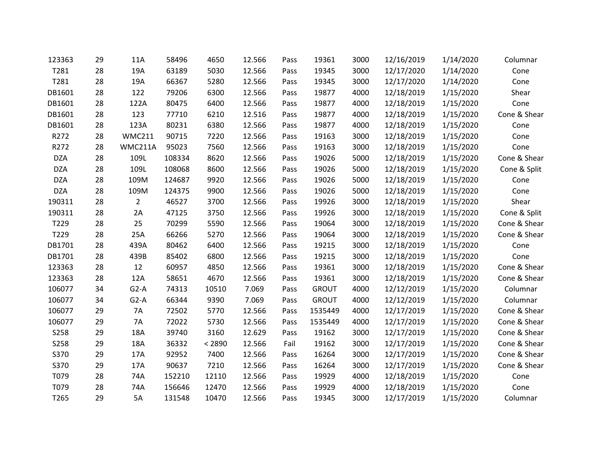| 123363      | 29 | 11A            | 58496  | 4650   | 12.566 | Pass | 19361        | 3000 | 12/16/2019 | 1/14/2020 | Columnar     |
|-------------|----|----------------|--------|--------|--------|------|--------------|------|------------|-----------|--------------|
| T281        | 28 | 19A            | 63189  | 5030   | 12.566 | Pass | 19345        | 3000 | 12/17/2020 | 1/14/2020 | Cone         |
| T281        | 28 | 19A            | 66367  | 5280   | 12.566 | Pass | 19345        | 3000 | 12/17/2020 | 1/14/2020 | Cone         |
| DB1601      | 28 | 122            | 79206  | 6300   | 12.566 | Pass | 19877        | 4000 | 12/18/2019 | 1/15/2020 | Shear        |
| DB1601      | 28 | 122A           | 80475  | 6400   | 12.566 | Pass | 19877        | 4000 | 12/18/2019 | 1/15/2020 | Cone         |
| DB1601      | 28 | 123            | 77710  | 6210   | 12.516 | Pass | 19877        | 4000 | 12/18/2019 | 1/15/2020 | Cone & Shear |
| DB1601      | 28 | 123A           | 80231  | 6380   | 12.566 | Pass | 19877        | 4000 | 12/18/2019 | 1/15/2020 | Cone         |
| R272        | 28 | <b>WMC211</b>  | 90715  | 7220   | 12.566 | Pass | 19163        | 3000 | 12/18/2019 | 1/15/2020 | Cone         |
| R272        | 28 | WMC211A        | 95023  | 7560   | 12.566 | Pass | 19163        | 3000 | 12/18/2019 | 1/15/2020 | Cone         |
| <b>DZA</b>  | 28 | 109L           | 108334 | 8620   | 12.566 | Pass | 19026        | 5000 | 12/18/2019 | 1/15/2020 | Cone & Shear |
| <b>DZA</b>  | 28 | 109L           | 108068 | 8600   | 12.566 | Pass | 19026        | 5000 | 12/18/2019 | 1/15/2020 | Cone & Split |
| <b>DZA</b>  | 28 | 109M           | 124687 | 9920   | 12.566 | Pass | 19026        | 5000 | 12/18/2019 | 1/15/2020 | Cone         |
| <b>DZA</b>  | 28 | 109M           | 124375 | 9900   | 12.566 | Pass | 19026        | 5000 | 12/18/2019 | 1/15/2020 | Cone         |
| 190311      | 28 | $\overline{2}$ | 46527  | 3700   | 12.566 | Pass | 19926        | 3000 | 12/18/2019 | 1/15/2020 | Shear        |
| 190311      | 28 | 2A             | 47125  | 3750   | 12.566 | Pass | 19926        | 3000 | 12/18/2019 | 1/15/2020 | Cone & Split |
| T229        | 28 | 25             | 70299  | 5590   | 12.566 | Pass | 19064        | 3000 | 12/18/2019 | 1/15/2020 | Cone & Shear |
| T229        | 28 | 25A            | 66266  | 5270   | 12.566 | Pass | 19064        | 3000 | 12/18/2019 | 1/15/2020 | Cone & Shear |
| DB1701      | 28 | 439A           | 80462  | 6400   | 12.566 | Pass | 19215        | 3000 | 12/18/2019 | 1/15/2020 | Cone         |
| DB1701      | 28 | 439B           | 85402  | 6800   | 12.566 | Pass | 19215        | 3000 | 12/18/2019 | 1/15/2020 | Cone         |
| 123363      | 28 | 12             | 60957  | 4850   | 12.566 | Pass | 19361        | 3000 | 12/18/2019 | 1/15/2020 | Cone & Shear |
| 123363      | 28 | 12A            | 58651  | 4670   | 12.566 | Pass | 19361        | 3000 | 12/18/2019 | 1/15/2020 | Cone & Shear |
| 106077      | 34 | $G2-A$         | 74313  | 10510  | 7.069  | Pass | <b>GROUT</b> | 4000 | 12/12/2019 | 1/15/2020 | Columnar     |
| 106077      | 34 | $G2-A$         | 66344  | 9390   | 7.069  | Pass | <b>GROUT</b> | 4000 | 12/12/2019 | 1/15/2020 | Columnar     |
| 106077      | 29 | 7A             | 72502  | 5770   | 12.566 | Pass | 1535449      | 4000 | 12/17/2019 | 1/15/2020 | Cone & Shear |
| 106077      | 29 | 7A             | 72022  | 5730   | 12.566 | Pass | 1535449      | 4000 | 12/17/2019 | 1/15/2020 | Cone & Shear |
| <b>S258</b> | 29 | 18A            | 39740  | 3160   | 12.629 | Pass | 19162        | 3000 | 12/17/2019 | 1/15/2020 | Cone & Shear |
| <b>S258</b> | 29 | 18A            | 36332  | < 2890 | 12.566 | Fail | 19162        | 3000 | 12/17/2019 | 1/15/2020 | Cone & Shear |
| S370        | 29 | 17A            | 92952  | 7400   | 12.566 | Pass | 16264        | 3000 | 12/17/2019 | 1/15/2020 | Cone & Shear |
| S370        | 29 | 17A            | 90637  | 7210   | 12.566 | Pass | 16264        | 3000 | 12/17/2019 | 1/15/2020 | Cone & Shear |
| T079        | 28 | 74A            | 152210 | 12110  | 12.566 | Pass | 19929        | 4000 | 12/18/2019 | 1/15/2020 | Cone         |
| T079        | 28 | 74A            | 156646 | 12470  | 12.566 | Pass | 19929        | 4000 | 12/18/2019 | 1/15/2020 | Cone         |
| T265        | 29 | <b>5A</b>      | 131548 | 10470  | 12.566 | Pass | 19345        | 3000 | 12/17/2019 | 1/15/2020 | Columnar     |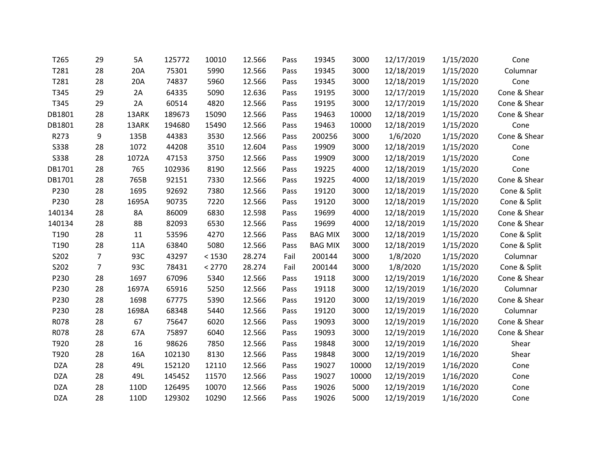| T265        | 29             | 5A        | 125772 | 10010  | 12.566 | Pass | 19345          | 3000  | 12/17/2019 | 1/15/2020 | Cone         |
|-------------|----------------|-----------|--------|--------|--------|------|----------------|-------|------------|-----------|--------------|
| T281        | 28             | 20A       | 75301  | 5990   | 12.566 | Pass | 19345          | 3000  | 12/18/2019 | 1/15/2020 | Columnar     |
| T281        | 28             | 20A       | 74837  | 5960   | 12.566 | Pass | 19345          | 3000  | 12/18/2019 | 1/15/2020 | Cone         |
| T345        | 29             | 2A        | 64335  | 5090   | 12.636 | Pass | 19195          | 3000  | 12/17/2019 | 1/15/2020 | Cone & Shear |
| T345        | 29             | 2A        | 60514  | 4820   | 12.566 | Pass | 19195          | 3000  | 12/17/2019 | 1/15/2020 | Cone & Shear |
| DB1801      | 28             | 13ARK     | 189673 | 15090  | 12.566 | Pass | 19463          | 10000 | 12/18/2019 | 1/15/2020 | Cone & Shear |
| DB1801      | 28             | 13ARK     | 194680 | 15490  | 12.566 | Pass | 19463          | 10000 | 12/18/2019 | 1/15/2020 | Cone         |
| R273        | 9              | 135B      | 44383  | 3530   | 12.566 | Pass | 200256         | 3000  | 1/6/2020   | 1/15/2020 | Cone & Shear |
| S338        | 28             | 1072      | 44208  | 3510   | 12.604 | Pass | 19909          | 3000  | 12/18/2019 | 1/15/2020 | Cone         |
| <b>S338</b> | 28             | 1072A     | 47153  | 3750   | 12.566 | Pass | 19909          | 3000  | 12/18/2019 | 1/15/2020 | Cone         |
| DB1701      | 28             | 765       | 102936 | 8190   | 12.566 | Pass | 19225          | 4000  | 12/18/2019 | 1/15/2020 | Cone         |
| DB1701      | 28             | 765B      | 92151  | 7330   | 12.566 | Pass | 19225          | 4000  | 12/18/2019 | 1/15/2020 | Cone & Shear |
| P230        | 28             | 1695      | 92692  | 7380   | 12.566 | Pass | 19120          | 3000  | 12/18/2019 | 1/15/2020 | Cone & Split |
| P230        | 28             | 1695A     | 90735  | 7220   | 12.566 | Pass | 19120          | 3000  | 12/18/2019 | 1/15/2020 | Cone & Split |
| 140134      | 28             | 8A        | 86009  | 6830   | 12.598 | Pass | 19699          | 4000  | 12/18/2019 | 1/15/2020 | Cone & Shear |
| 140134      | 28             | <b>8B</b> | 82093  | 6530   | 12.566 | Pass | 19699          | 4000  | 12/18/2019 | 1/15/2020 | Cone & Shear |
| T190        | 28             | 11        | 53596  | 4270   | 12.566 | Pass | <b>BAG MIX</b> | 3000  | 12/18/2019 | 1/15/2020 | Cone & Split |
| T190        | 28             | 11A       | 63840  | 5080   | 12.566 | Pass | <b>BAG MIX</b> | 3000  | 12/18/2019 | 1/15/2020 | Cone & Split |
| S202        | $\overline{7}$ | 93C       | 43297  | < 1530 | 28.274 | Fail | 200144         | 3000  | 1/8/2020   | 1/15/2020 | Columnar     |
| S202        | $\overline{7}$ | 93C       | 78431  | < 2770 | 28.274 | Fail | 200144         | 3000  | 1/8/2020   | 1/15/2020 | Cone & Split |
| P230        | 28             | 1697      | 67096  | 5340   | 12.566 | Pass | 19118          | 3000  | 12/19/2019 | 1/16/2020 | Cone & Shear |
| P230        | 28             | 1697A     | 65916  | 5250   | 12.566 | Pass | 19118          | 3000  | 12/19/2019 | 1/16/2020 | Columnar     |
| P230        | 28             | 1698      | 67775  | 5390   | 12.566 | Pass | 19120          | 3000  | 12/19/2019 | 1/16/2020 | Cone & Shear |
| P230        | 28             | 1698A     | 68348  | 5440   | 12.566 | Pass | 19120          | 3000  | 12/19/2019 | 1/16/2020 | Columnar     |
| R078        | 28             | 67        | 75647  | 6020   | 12.566 | Pass | 19093          | 3000  | 12/19/2019 | 1/16/2020 | Cone & Shear |
| R078        | 28             | 67A       | 75897  | 6040   | 12.566 | Pass | 19093          | 3000  | 12/19/2019 | 1/16/2020 | Cone & Shear |
| T920        | 28             | 16        | 98626  | 7850   | 12.566 | Pass | 19848          | 3000  | 12/19/2019 | 1/16/2020 | Shear        |
| T920        | 28             | 16A       | 102130 | 8130   | 12.566 | Pass | 19848          | 3000  | 12/19/2019 | 1/16/2020 | Shear        |
| <b>DZA</b>  | 28             | 49L       | 152120 | 12110  | 12.566 | Pass | 19027          | 10000 | 12/19/2019 | 1/16/2020 | Cone         |
| <b>DZA</b>  | 28             | 49L       | 145452 | 11570  | 12.566 | Pass | 19027          | 10000 | 12/19/2019 | 1/16/2020 | Cone         |
| <b>DZA</b>  | 28             | 110D      | 126495 | 10070  | 12.566 | Pass | 19026          | 5000  | 12/19/2019 | 1/16/2020 | Cone         |
| <b>DZA</b>  | 28             | 110D      | 129302 | 10290  | 12.566 | Pass | 19026          | 5000  | 12/19/2019 | 1/16/2020 | Cone         |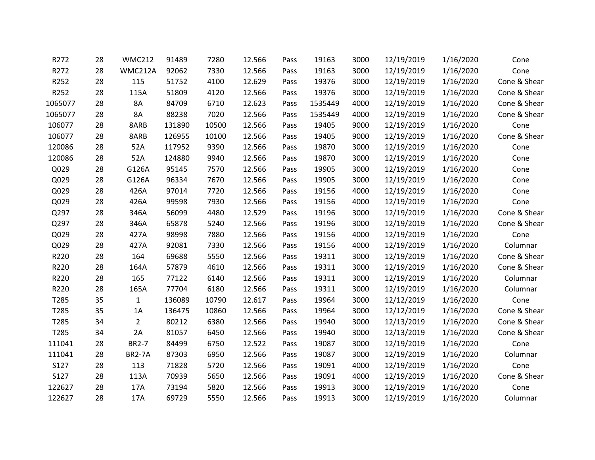| R272             | 28 | <b>WMC212</b>  | 91489  | 7280  | 12.566 | Pass | 19163   | 3000 | 12/19/2019 | 1/16/2020 | Cone         |
|------------------|----|----------------|--------|-------|--------|------|---------|------|------------|-----------|--------------|
| R272             | 28 | WMC212A        | 92062  | 7330  | 12.566 | Pass | 19163   | 3000 | 12/19/2019 | 1/16/2020 | Cone         |
| R252             | 28 | 115            | 51752  | 4100  | 12.629 | Pass | 19376   | 3000 | 12/19/2019 | 1/16/2020 | Cone & Shear |
| R252             | 28 | 115A           | 51809  | 4120  | 12.566 | Pass | 19376   | 3000 | 12/19/2019 | 1/16/2020 | Cone & Shear |
| 1065077          | 28 | 8A             | 84709  | 6710  | 12.623 | Pass | 1535449 | 4000 | 12/19/2019 | 1/16/2020 | Cone & Shear |
| 1065077          | 28 | <b>8A</b>      | 88238  | 7020  | 12.566 | Pass | 1535449 | 4000 | 12/19/2019 | 1/16/2020 | Cone & Shear |
| 106077           | 28 | 8ARB           | 131890 | 10500 | 12.566 | Pass | 19405   | 9000 | 12/19/2019 | 1/16/2020 | Cone         |
| 106077           | 28 | 8ARB           | 126955 | 10100 | 12.566 | Pass | 19405   | 9000 | 12/19/2019 | 1/16/2020 | Cone & Shear |
| 120086           | 28 | 52A            | 117952 | 9390  | 12.566 | Pass | 19870   | 3000 | 12/19/2019 | 1/16/2020 | Cone         |
| 120086           | 28 | 52A            | 124880 | 9940  | 12.566 | Pass | 19870   | 3000 | 12/19/2019 | 1/16/2020 | Cone         |
| Q029             | 28 | G126A          | 95145  | 7570  | 12.566 | Pass | 19905   | 3000 | 12/19/2019 | 1/16/2020 | Cone         |
| Q029             | 28 | G126A          | 96334  | 7670  | 12.566 | Pass | 19905   | 3000 | 12/19/2019 | 1/16/2020 | Cone         |
| Q029             | 28 | 426A           | 97014  | 7720  | 12.566 | Pass | 19156   | 4000 | 12/19/2019 | 1/16/2020 | Cone         |
| Q029             | 28 | 426A           | 99598  | 7930  | 12.566 | Pass | 19156   | 4000 | 12/19/2019 | 1/16/2020 | Cone         |
| Q297             | 28 | 346A           | 56099  | 4480  | 12.529 | Pass | 19196   | 3000 | 12/19/2019 | 1/16/2020 | Cone & Shear |
| Q297             | 28 | 346A           | 65878  | 5240  | 12.566 | Pass | 19196   | 3000 | 12/19/2019 | 1/16/2020 | Cone & Shear |
| Q029             | 28 | 427A           | 98998  | 7880  | 12.566 | Pass | 19156   | 4000 | 12/19/2019 | 1/16/2020 | Cone         |
| Q029             | 28 | 427A           | 92081  | 7330  | 12.566 | Pass | 19156   | 4000 | 12/19/2019 | 1/16/2020 | Columnar     |
| R220             | 28 | 164            | 69688  | 5550  | 12.566 | Pass | 19311   | 3000 | 12/19/2019 | 1/16/2020 | Cone & Shear |
| R220             | 28 | 164A           | 57879  | 4610  | 12.566 | Pass | 19311   | 3000 | 12/19/2019 | 1/16/2020 | Cone & Shear |
| R220             | 28 | 165            | 77122  | 6140  | 12.566 | Pass | 19311   | 3000 | 12/19/2019 | 1/16/2020 | Columnar     |
| R220             | 28 | 165A           | 77704  | 6180  | 12.566 | Pass | 19311   | 3000 | 12/19/2019 | 1/16/2020 | Columnar     |
| T285             | 35 | $\mathbf{1}$   | 136089 | 10790 | 12.617 | Pass | 19964   | 3000 | 12/12/2019 | 1/16/2020 | Cone         |
| T <sub>285</sub> | 35 | 1A             | 136475 | 10860 | 12.566 | Pass | 19964   | 3000 | 12/12/2019 | 1/16/2020 | Cone & Shear |
| T285             | 34 | $\overline{2}$ | 80212  | 6380  | 12.566 | Pass | 19940   | 3000 | 12/13/2019 | 1/16/2020 | Cone & Shear |
| T285             | 34 | 2A             | 81057  | 6450  | 12.566 | Pass | 19940   | 3000 | 12/13/2019 | 1/16/2020 | Cone & Shear |
| 111041           | 28 | <b>BR2-7</b>   | 84499  | 6750  | 12.522 | Pass | 19087   | 3000 | 12/19/2019 | 1/16/2020 | Cone         |
| 111041           | 28 | <b>BR2-7A</b>  | 87303  | 6950  | 12.566 | Pass | 19087   | 3000 | 12/19/2019 | 1/16/2020 | Columnar     |
| S127             | 28 | 113            | 71828  | 5720  | 12.566 | Pass | 19091   | 4000 | 12/19/2019 | 1/16/2020 | Cone         |
| <b>S127</b>      | 28 | 113A           | 70939  | 5650  | 12.566 | Pass | 19091   | 4000 | 12/19/2019 | 1/16/2020 | Cone & Shear |
| 122627           | 28 | 17A            | 73194  | 5820  | 12.566 | Pass | 19913   | 3000 | 12/19/2019 | 1/16/2020 | Cone         |
| 122627           | 28 | 17A            | 69729  | 5550  | 12.566 | Pass | 19913   | 3000 | 12/19/2019 | 1/16/2020 | Columnar     |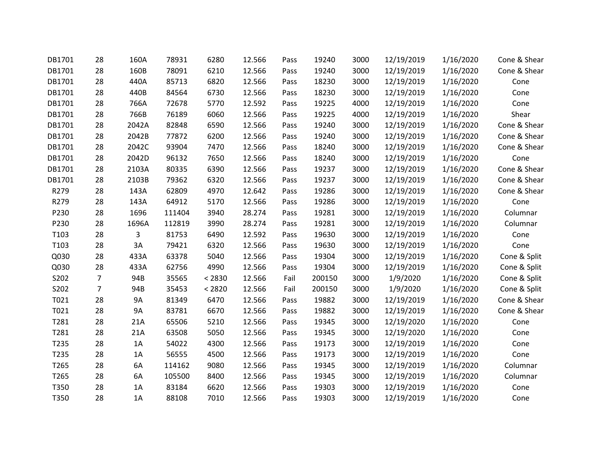| DB1701 | 28             | 160A      | 78931  | 6280   | 12.566 | Pass | 19240  | 3000 | 12/19/2019 | 1/16/2020 | Cone & Shear |
|--------|----------------|-----------|--------|--------|--------|------|--------|------|------------|-----------|--------------|
| DB1701 | 28             | 160B      | 78091  | 6210   | 12.566 | Pass | 19240  | 3000 | 12/19/2019 | 1/16/2020 | Cone & Shear |
| DB1701 | 28             | 440A      | 85713  | 6820   | 12.566 | Pass | 18230  | 3000 | 12/19/2019 | 1/16/2020 | Cone         |
| DB1701 | 28             | 440B      | 84564  | 6730   | 12.566 | Pass | 18230  | 3000 | 12/19/2019 | 1/16/2020 | Cone         |
| DB1701 | 28             | 766A      | 72678  | 5770   | 12.592 | Pass | 19225  | 4000 | 12/19/2019 | 1/16/2020 | Cone         |
| DB1701 | 28             | 766B      | 76189  | 6060   | 12.566 | Pass | 19225  | 4000 | 12/19/2019 | 1/16/2020 | Shear        |
| DB1701 | 28             | 2042A     | 82848  | 6590   | 12.566 | Pass | 19240  | 3000 | 12/19/2019 | 1/16/2020 | Cone & Shear |
| DB1701 | 28             | 2042B     | 77872  | 6200   | 12.566 | Pass | 19240  | 3000 | 12/19/2019 | 1/16/2020 | Cone & Shear |
| DB1701 | 28             | 2042C     | 93904  | 7470   | 12.566 | Pass | 18240  | 3000 | 12/19/2019 | 1/16/2020 | Cone & Shear |
| DB1701 | 28             | 2042D     | 96132  | 7650   | 12.566 | Pass | 18240  | 3000 | 12/19/2019 | 1/16/2020 | Cone         |
| DB1701 | 28             | 2103A     | 80335  | 6390   | 12.566 | Pass | 19237  | 3000 | 12/19/2019 | 1/16/2020 | Cone & Shear |
| DB1701 | 28             | 2103B     | 79362  | 6320   | 12.566 | Pass | 19237  | 3000 | 12/19/2019 | 1/16/2020 | Cone & Shear |
| R279   | 28             | 143A      | 62809  | 4970   | 12.642 | Pass | 19286  | 3000 | 12/19/2019 | 1/16/2020 | Cone & Shear |
| R279   | 28             | 143A      | 64912  | 5170   | 12.566 | Pass | 19286  | 3000 | 12/19/2019 | 1/16/2020 | Cone         |
| P230   | 28             | 1696      | 111404 | 3940   | 28.274 | Pass | 19281  | 3000 | 12/19/2019 | 1/16/2020 | Columnar     |
| P230   | 28             | 1696A     | 112819 | 3990   | 28.274 | Pass | 19281  | 3000 | 12/19/2019 | 1/16/2020 | Columnar     |
| T103   | 28             | 3         | 81753  | 6490   | 12.592 | Pass | 19630  | 3000 | 12/19/2019 | 1/16/2020 | Cone         |
| T103   | 28             | 3A        | 79421  | 6320   | 12.566 | Pass | 19630  | 3000 | 12/19/2019 | 1/16/2020 | Cone         |
| Q030   | 28             | 433A      | 63378  | 5040   | 12.566 | Pass | 19304  | 3000 | 12/19/2019 | 1/16/2020 | Cone & Split |
| Q030   | 28             | 433A      | 62756  | 4990   | 12.566 | Pass | 19304  | 3000 | 12/19/2019 | 1/16/2020 | Cone & Split |
| S202   | $\overline{7}$ | 94B       | 35565  | < 2830 | 12.566 | Fail | 200150 | 3000 | 1/9/2020   | 1/16/2020 | Cone & Split |
| S202   | $\overline{7}$ | 94B       | 35453  | < 2820 | 12.566 | Fail | 200150 | 3000 | 1/9/2020   | 1/16/2020 | Cone & Split |
| T021   | 28             | <b>9A</b> | 81349  | 6470   | 12.566 | Pass | 19882  | 3000 | 12/19/2019 | 1/16/2020 | Cone & Shear |
| T021   | 28             | <b>9A</b> | 83781  | 6670   | 12.566 | Pass | 19882  | 3000 | 12/19/2019 | 1/16/2020 | Cone & Shear |
| T281   | 28             | 21A       | 65506  | 5210   | 12.566 | Pass | 19345  | 3000 | 12/19/2020 | 1/16/2020 | Cone         |
| T281   | 28             | 21A       | 63508  | 5050   | 12.566 | Pass | 19345  | 3000 | 12/19/2020 | 1/16/2020 | Cone         |
| T235   | 28             | 1A        | 54022  | 4300   | 12.566 | Pass | 19173  | 3000 | 12/19/2019 | 1/16/2020 | Cone         |
| T235   | 28             | 1A        | 56555  | 4500   | 12.566 | Pass | 19173  | 3000 | 12/19/2019 | 1/16/2020 | Cone         |
| T265   | 28             | 6A        | 114162 | 9080   | 12.566 | Pass | 19345  | 3000 | 12/19/2019 | 1/16/2020 | Columnar     |
| T265   | 28             | 6A        | 105500 | 8400   | 12.566 | Pass | 19345  | 3000 | 12/19/2019 | 1/16/2020 | Columnar     |
| T350   | 28             | 1A        | 83184  | 6620   | 12.566 | Pass | 19303  | 3000 | 12/19/2019 | 1/16/2020 | Cone         |
| T350   | 28             | 1A        | 88108  | 7010   | 12.566 | Pass | 19303  | 3000 | 12/19/2019 | 1/16/2020 | Cone         |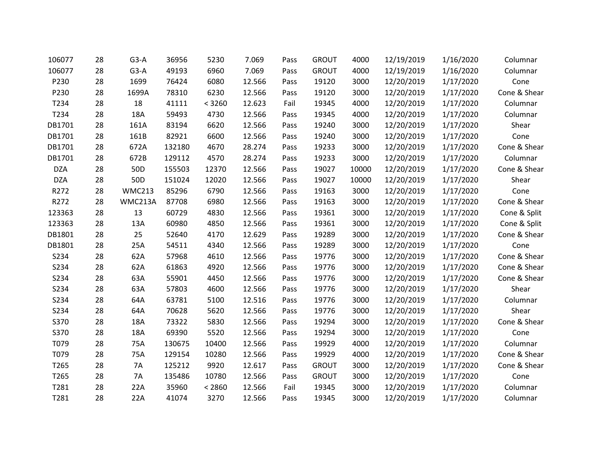| 106077     | 28 | $G3-A$          | 36956  | 5230   | 7.069  | Pass | <b>GROUT</b> | 4000  | 12/19/2019 | 1/16/2020 | Columnar     |
|------------|----|-----------------|--------|--------|--------|------|--------------|-------|------------|-----------|--------------|
| 106077     | 28 | $G3-A$          | 49193  | 6960   | 7.069  | Pass | <b>GROUT</b> | 4000  | 12/19/2019 | 1/16/2020 | Columnar     |
| P230       | 28 | 1699            | 76424  | 6080   | 12.566 | Pass | 19120        | 3000  | 12/20/2019 | 1/17/2020 | Cone         |
| P230       | 28 | 1699A           | 78310  | 6230   | 12.566 | Pass | 19120        | 3000  | 12/20/2019 | 1/17/2020 | Cone & Shear |
| T234       | 28 | 18              | 41111  | < 3260 | 12.623 | Fail | 19345        | 4000  | 12/20/2019 | 1/17/2020 | Columnar     |
| T234       | 28 | 18A             | 59493  | 4730   | 12.566 | Pass | 19345        | 4000  | 12/20/2019 | 1/17/2020 | Columnar     |
| DB1701     | 28 | 161A            | 83194  | 6620   | 12.566 | Pass | 19240        | 3000  | 12/20/2019 | 1/17/2020 | Shear        |
| DB1701     | 28 | 161B            | 82921  | 6600   | 12.566 | Pass | 19240        | 3000  | 12/20/2019 | 1/17/2020 | Cone         |
| DB1701     | 28 | 672A            | 132180 | 4670   | 28.274 | Pass | 19233        | 3000  | 12/20/2019 | 1/17/2020 | Cone & Shear |
| DB1701     | 28 | 672B            | 129112 | 4570   | 28.274 | Pass | 19233        | 3000  | 12/20/2019 | 1/17/2020 | Columnar     |
| <b>DZA</b> | 28 | 50 <sub>D</sub> | 155503 | 12370  | 12.566 | Pass | 19027        | 10000 | 12/20/2019 | 1/17/2020 | Cone & Shear |
| <b>DZA</b> | 28 | 50 <sub>D</sub> | 151024 | 12020  | 12.566 | Pass | 19027        | 10000 | 12/20/2019 | 1/17/2020 | Shear        |
| R272       | 28 | <b>WMC213</b>   | 85296  | 6790   | 12.566 | Pass | 19163        | 3000  | 12/20/2019 | 1/17/2020 | Cone         |
| R272       | 28 | WMC213A         | 87708  | 6980   | 12.566 | Pass | 19163        | 3000  | 12/20/2019 | 1/17/2020 | Cone & Shear |
| 123363     | 28 | 13              | 60729  | 4830   | 12.566 | Pass | 19361        | 3000  | 12/20/2019 | 1/17/2020 | Cone & Split |
| 123363     | 28 | 13A             | 60980  | 4850   | 12.566 | Pass | 19361        | 3000  | 12/20/2019 | 1/17/2020 | Cone & Split |
| DB1801     | 28 | 25              | 52640  | 4170   | 12.629 | Pass | 19289        | 3000  | 12/20/2019 | 1/17/2020 | Cone & Shear |
| DB1801     | 28 | 25A             | 54511  | 4340   | 12.566 | Pass | 19289        | 3000  | 12/20/2019 | 1/17/2020 | Cone         |
| S234       | 28 | 62A             | 57968  | 4610   | 12.566 | Pass | 19776        | 3000  | 12/20/2019 | 1/17/2020 | Cone & Shear |
| S234       | 28 | 62A             | 61863  | 4920   | 12.566 | Pass | 19776        | 3000  | 12/20/2019 | 1/17/2020 | Cone & Shear |
| S234       | 28 | 63A             | 55901  | 4450   | 12.566 | Pass | 19776        | 3000  | 12/20/2019 | 1/17/2020 | Cone & Shear |
| S234       | 28 | 63A             | 57803  | 4600   | 12.566 | Pass | 19776        | 3000  | 12/20/2019 | 1/17/2020 | Shear        |
| S234       | 28 | 64A             | 63781  | 5100   | 12.516 | Pass | 19776        | 3000  | 12/20/2019 | 1/17/2020 | Columnar     |
| S234       | 28 | 64A             | 70628  | 5620   | 12.566 | Pass | 19776        | 3000  | 12/20/2019 | 1/17/2020 | Shear        |
| S370       | 28 | 18A             | 73322  | 5830   | 12.566 | Pass | 19294        | 3000  | 12/20/2019 | 1/17/2020 | Cone & Shear |
| S370       | 28 | 18A             | 69390  | 5520   | 12.566 | Pass | 19294        | 3000  | 12/20/2019 | 1/17/2020 | Cone         |
| T079       | 28 | 75A             | 130675 | 10400  | 12.566 | Pass | 19929        | 4000  | 12/20/2019 | 1/17/2020 | Columnar     |
| T079       | 28 | 75A             | 129154 | 10280  | 12.566 | Pass | 19929        | 4000  | 12/20/2019 | 1/17/2020 | Cone & Shear |
| T265       | 28 | <b>7A</b>       | 125212 | 9920   | 12.617 | Pass | <b>GROUT</b> | 3000  | 12/20/2019 | 1/17/2020 | Cone & Shear |
| T265       | 28 | <b>7A</b>       | 135486 | 10780  | 12.566 | Pass | <b>GROUT</b> | 3000  | 12/20/2019 | 1/17/2020 | Cone         |
| T281       | 28 | 22A             | 35960  | < 2860 | 12.566 | Fail | 19345        | 3000  | 12/20/2019 | 1/17/2020 | Columnar     |
| T281       | 28 | 22A             | 41074  | 3270   | 12.566 | Pass | 19345        | 3000  | 12/20/2019 | 1/17/2020 | Columnar     |